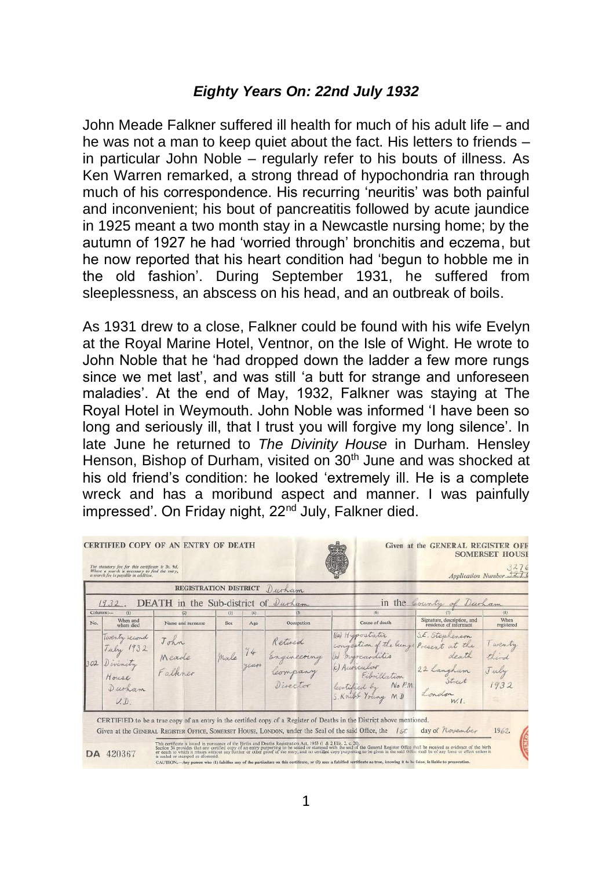## *Eighty Years On: 22nd July 1932*

John Meade Falkner suffered ill health for much of his adult life – and he was not a man to keep quiet about the fact. His letters to friends – in particular John Noble – regularly refer to his bouts of illness. As Ken Warren remarked, a strong thread of hypochondria ran through much of his correspondence. His recurring 'neuritis' was both painful and inconvenient; his bout of pancreatitis followed by acute jaundice in 1925 meant a two month stay in a Newcastle nursing home; by the autumn of 1927 he had 'worried through' bronchitis and eczema, but he now reported that his heart condition had 'begun to hobble me in the old fashion'. During September 1931, he suffered from sleeplessness, an abscess on his head, and an outbreak of boils.

As 1931 drew to a close, Falkner could be found with his wife Evelyn at the Royal Marine Hotel, Ventnor, on the Isle of Wight. He wrote to John Noble that he 'had dropped down the ladder a few more rungs since we met last', and was still 'a butt for strange and unforeseen maladies'. At the end of May, 1932, Falkner was staying at The Royal Hotel in Weymouth. John Noble was informed 'I have been so long and seriously ill, that I trust you will forgive my long silence'. In late June he returned to *The Divinity House* in Durham. Hensley Henson, Bishop of Durham, visited on 30<sup>th</sup> June and was shocked at his old friend's condition: he looked 'extremely ill. He is a complete wreck and has a moribund aspect and manner. I was painfully impressed'. On Friday night, 22<sup>nd</sup> July, Falkner died.

|     |                                                                  | <b>REGISTRATION DISTRICT</b>     |            |             | Durham                                       |   |                                                                                                                                         |                                                                                    |                                  |
|-----|------------------------------------------------------------------|----------------------------------|------------|-------------|----------------------------------------------|---|-----------------------------------------------------------------------------------------------------------------------------------------|------------------------------------------------------------------------------------|----------------------------------|
|     | 1932.                                                            | <b>DEATH</b> in the Sub-district |            |             | Durham                                       |   |                                                                                                                                         | in the Country of Durham                                                           |                                  |
| No. | Columns:<br>(1)<br>When and<br>where died                        | (2)<br>Name and surname          | (3)<br>Sex | (4)<br>Age  | (5)<br>Occupation                            |   | (6)<br>Cause of death                                                                                                                   | Signature, description, and<br>residence of informant                              | (8)<br>When<br>registered        |
| 302 | Westy second<br>July 1932<br>Divenity<br>House<br>Durham<br>U, D | John<br>Meade<br>Falkner         | male       | 74<br>years | Retired<br>Engineering<br>Compan<br>Director | W | Ka Hypostatic<br>congestion of the lungs<br>myocarditis<br>(c) Auronlar<br>Fibrillation<br>No R.<br>lecrtified by<br>S. Knight Young MD | S.E. Stephenson<br>Present at the<br>death<br>22 Langham<br>Street<br>London W. 1. | I wenty<br>third<br>July<br>1932 |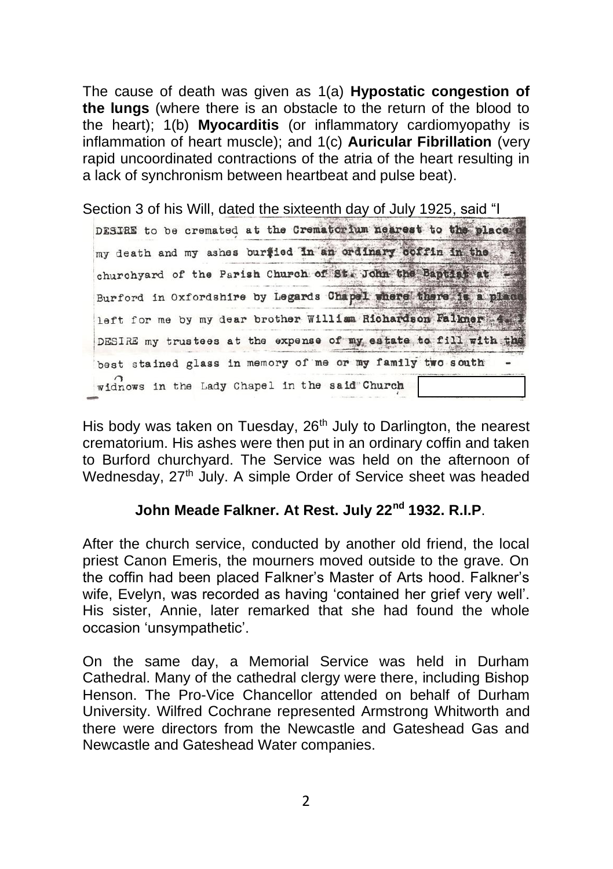The cause of death was given as 1(a) **Hypostatic congestion of the lungs** (where there is an obstacle to the return of the blood to the heart); 1(b) **Myocarditis** (or inflammatory cardiomyopathy is inflammation of heart muscle); and 1(c) **Auricular Fibrillation** (very rapid uncoordinated contractions of the atria of the heart resulting in a lack of synchronism between heartbeat and pulse beat).

Section 3 of his Will, dated the sixteenth day of July 1925, said "I DESIRE to be cremated at the Crematorium nearest to the place my death and my ashes buriled in an ordinary coffin in the churchyard of the Parish Church of St. John the Baptist at Burford in Oxfordshire by Legards Chapel where there is a place left for me by my dear brother William Richardson Falkner 4. DESIRE my trustees at the expense of my estate to fill with the best stained glass in memory of me or my family two south widnows in the Lady Chapel in the said"Church

His body was taken on Tuesday, 26<sup>th</sup> July to Darlington, the nearest crematorium. His ashes were then put in an ordinary coffin and taken to Burford churchyard. The Service was held on the afternoon of Wednesday, 27<sup>th</sup> July. A simple Order of Service sheet was headed

# **John Meade Falkner. At Rest. July 22nd 1932. R.I.P**.

After the church service, conducted by another old friend, the local priest Canon Emeris, the mourners moved outside to the grave. On the coffin had been placed Falkner's Master of Arts hood. Falkner's wife, Evelyn, was recorded as having 'contained her grief very well'. His sister, Annie, later remarked that she had found the whole occasion 'unsympathetic'.

On the same day, a Memorial Service was held in Durham Cathedral. Many of the cathedral clergy were there, including Bishop Henson. The Pro-Vice Chancellor attended on behalf of Durham University. Wilfred Cochrane represented Armstrong Whitworth and there were directors from the Newcastle and Gateshead Gas and Newcastle and Gateshead Water companies.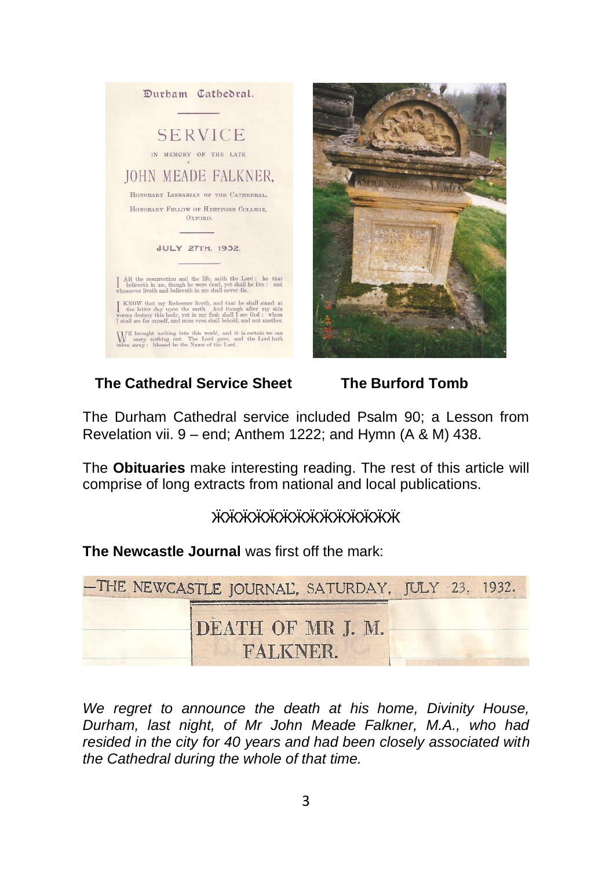

# **The Cathedral Service Sheet The Burford Tomb**

The Durham Cathedral service included Psalm 90; a Lesson from Revelation vii. 9 – end; Anthem 1222; and Hymn (A & M) 438.

The **Obituaries** make interesting reading. The rest of this article will comprise of long extracts from national and local publications.

# ӁӜӜӜӁӁӁӁӁӁӁӁ*҉*

**The Newcastle Journal** was first off the mark:

| -THE NEWCASTLE JOURNAL, SATURDAY, JULY 23, 1932. |  |
|--------------------------------------------------|--|
| DEATH OF MR J. M.<br>FALKNER.                    |  |

*We regret to announce the death at his home, Divinity House, Durham, last night, of Mr John Meade Falkner, M.A., who had resided in the city for 40 years and had been closely associated with the Cathedral during the whole of that time.*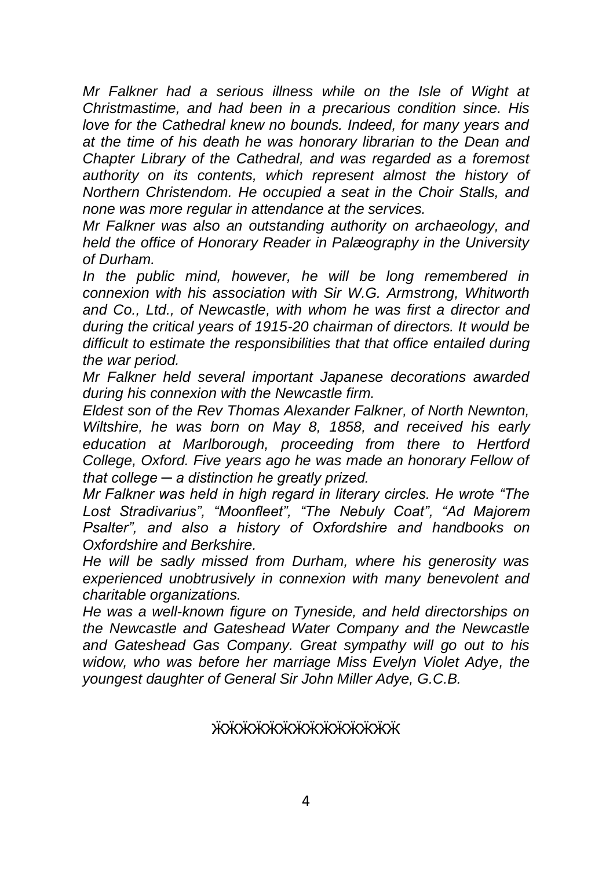*Mr Falkner had a serious illness while on the Isle of Wight at Christmastime, and had been in a precarious condition since. His love for the Cathedral knew no bounds. Indeed, for many years and at the time of his death he was honorary librarian to the Dean and Chapter Library of the Cathedral, and was regarded as a foremost authority on its contents, which represent almost the history of Northern Christendom. He occupied a seat in the Choir Stalls, and none was more regular in attendance at the services.*

*Mr Falkner was also an outstanding authority on archaeology, and held the office of Honorary Reader in Palæography in the University of Durham.*

*In the public mind, however, he will be long remembered in connexion with his association with Sir W.G. Armstrong, Whitworth and Co., Ltd., of Newcastle, with whom he was first a director and during the critical years of 1915-20 chairman of directors. It would be difficult to estimate the responsibilities that that office entailed during the war period.*

*Mr Falkner held several important Japanese decorations awarded during his connexion with the Newcastle firm.*

*Eldest son of the Rev Thomas Alexander Falkner, of North Newnton, Wiltshire, he was born on May 8, 1858, and received his early education at Marlborough, proceeding from there to Hertford College, Oxford. Five years ago he was made an honorary Fellow of that college ─ a distinction he greatly prized.*

*Mr Falkner was held in high regard in literary circles. He wrote "The Lost Stradivarius", "Moonfleet", "The Nebuly Coat", "Ad Majorem Psalter", and also a history of Oxfordshire and handbooks on Oxfordshire and Berkshire.*

*He will be sadly missed from Durham, where his generosity was experienced unobtrusively in connexion with many benevolent and charitable organizations.*

*He was a well-known figure on Tyneside, and held directorships on the Newcastle and Gateshead Water Company and the Newcastle and Gateshead Gas Company. Great sympathy will go out to his widow, who was before her marriage Miss Evelyn Violet Adye, the youngest daughter of General Sir John Miller Adye, G.C.B.*

### ӁӜӜӁӁӁӁӁӁӁӁӁ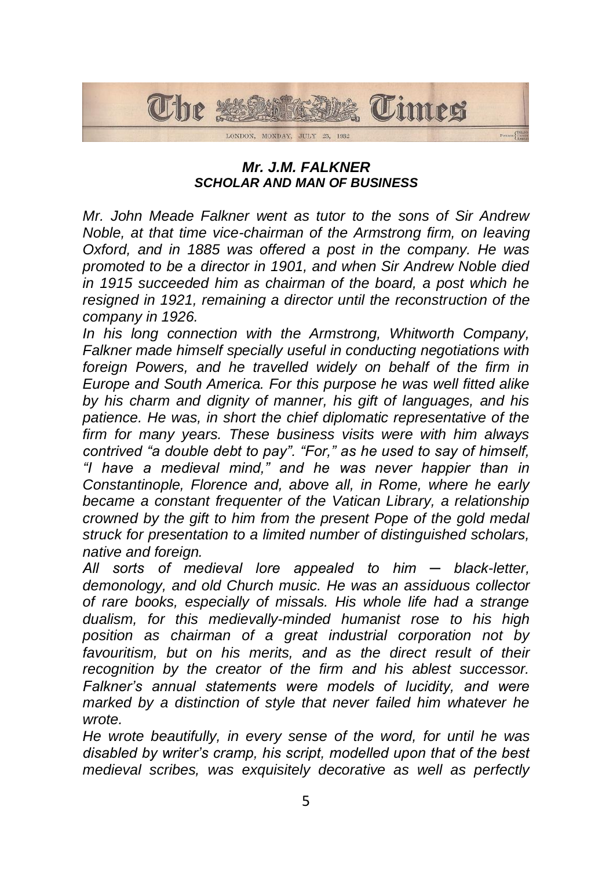

## *Mr. J.M. FALKNER SCHOLAR AND MAN OF BUSINESS*

*Mr. John Meade Falkner went as tutor to the sons of Sir Andrew Noble, at that time vice-chairman of the Armstrong firm, on leaving Oxford, and in 1885 was offered a post in the company. He was promoted to be a director in 1901, and when Sir Andrew Noble died in 1915 succeeded him as chairman of the board, a post which he resigned in 1921, remaining a director until the reconstruction of the company in 1926.*

*In his long connection with the Armstrong, Whitworth Company, Falkner made himself specially useful in conducting negotiations with foreign Powers, and he travelled widely on behalf of the firm in Europe and South America. For this purpose he was well fitted alike by his charm and dignity of manner, his gift of languages, and his patience. He was, in short the chief diplomatic representative of the firm for many years. These business visits were with him always contrived "a double debt to pay". "For," as he used to say of himself, "I have a medieval mind," and he was never happier than in Constantinople, Florence and, above all, in Rome, where he early became a constant frequenter of the Vatican Library, a relationship crowned by the gift to him from the present Pope of the gold medal struck for presentation to a limited number of distinguished scholars, native and foreign.*

*All sorts of medieval lore appealed to him ─ black-letter, demonology, and old Church music. He was an assiduous collector of rare books, especially of missals. His whole life had a strange dualism, for this medievally-minded humanist rose to his high position as chairman of a great industrial corporation not by*  favouritism, but on his merits, and as the direct result of their *recognition by the creator of the firm and his ablest successor. Falkner's annual statements were models of lucidity, and were marked by a distinction of style that never failed him whatever he wrote.*

*He wrote beautifully, in every sense of the word, for until he was disabled by writer's cramp, his script, modelled upon that of the best medieval scribes, was exquisitely decorative as well as perfectly*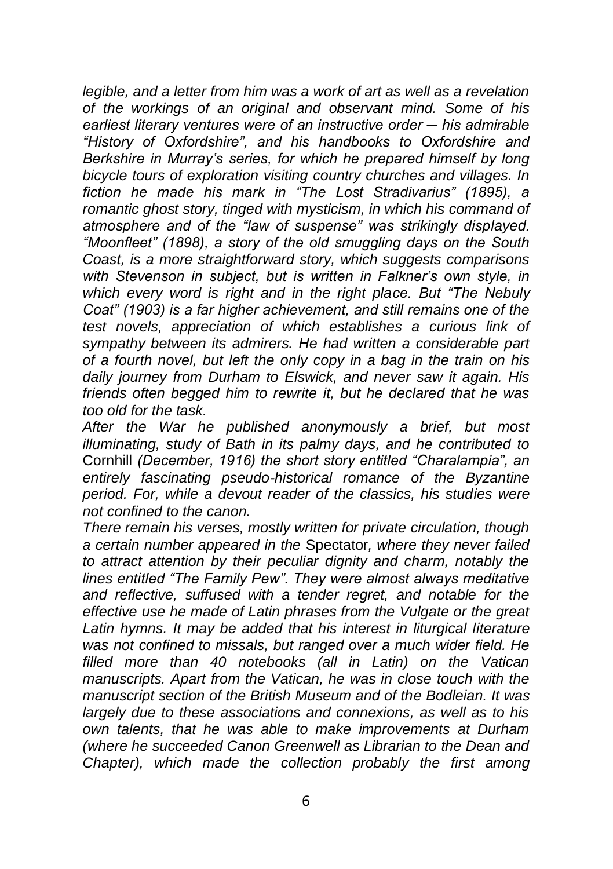*legible, and a letter from him was a work of art as well as a revelation of the workings of an original and observant mind. Some of his earliest literary ventures were of an instructive order ─ his admirable "History of Oxfordshire", and his handbooks to Oxfordshire and Berkshire in Murray's series, for which he prepared himself by long bicycle tours of exploration visiting country churches and villages. In fiction he made his mark in "The Lost Stradivarius" (1895), a romantic ghost story, tinged with mysticism, in which his command of atmosphere and of the "law of suspense" was strikingly displayed. "Moonfleet" (1898), a story of the old smuggling days on the South Coast, is a more straightforward story, which suggests comparisons with Stevenson in subject, but is written in Falkner's own style, in which every word is right and in the right place. But "The Nebuly Coat" (1903) is a far higher achievement, and still remains one of the test novels, appreciation of which establishes a curious link of sympathy between its admirers. He had written a considerable part of a fourth novel, but left the only copy in a bag in the train on his daily journey from Durham to Elswick, and never saw it again. His friends often begged him to rewrite it, but he declared that he was too old for the task.*

*After the War he published anonymously a brief, but most illuminating, study of Bath in its palmy days, and he contributed to*  Cornhill *(December, 1916) the short story entitled "Charalampia", an entirely fascinating pseudo-historical romance of the Byzantine period. For, while a devout reader of the classics, his studies were not confined to the canon.*

*There remain his verses, mostly written for private circulation, though a certain number appeared in the* Spectator*, where they never failed to attract attention by their peculiar dignity and charm, notably the lines entitled "The Family Pew". They were almost always meditative and reflective, suffused with a tender regret, and notable for the effective use he made of Latin phrases from the Vulgate or the great*  Latin hymns. It may be added that his interest in liturgical literature *was not confined to missals, but ranged over a much wider field. He filled more than 40 notebooks (all in Latin) on the Vatican manuscripts. Apart from the Vatican, he was in close touch with the manuscript section of the British Museum and of the Bodleian. It was largely due to these associations and connexions, as well as to his own talents, that he was able to make improvements at Durham (where he succeeded Canon Greenwell as Librarian to the Dean and Chapter), which made the collection probably the first among*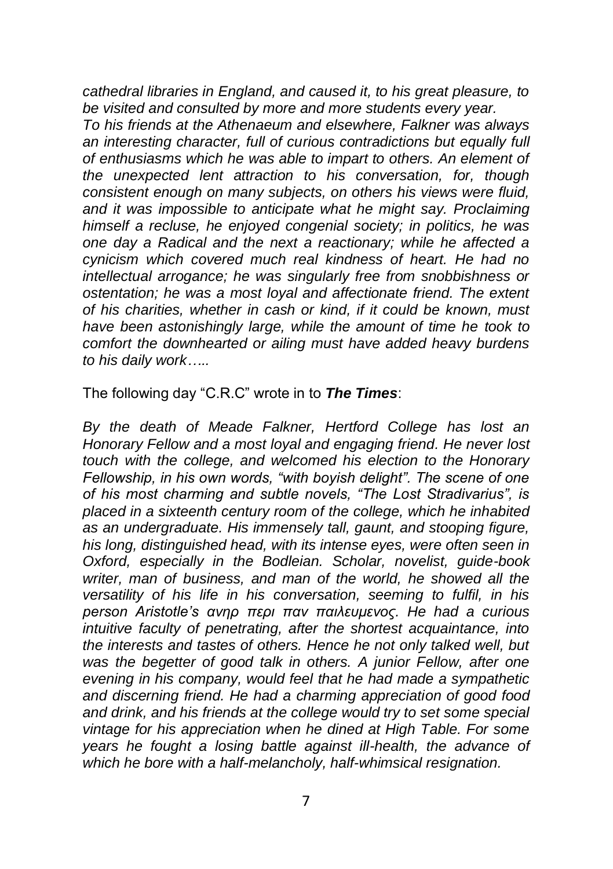*cathedral libraries in England, and caused it, to his great pleasure, to be visited and consulted by more and more students every year.*

*To his friends at the Athenaeum and elsewhere, Falkner was always an interesting character, full of curious contradictions but equally full of enthusiasms which he was able to impart to others. An element of the unexpected lent attraction to his conversation, for, though consistent enough on many subjects, on others his views were fluid, and it was impossible to anticipate what he might say. Proclaiming himself a recluse, he enjoyed congenial society; in politics, he was one day a Radical and the next a reactionary; while he affected a cynicism which covered much real kindness of heart. He had no intellectual arrogance; he was singularly free from snobbishness or ostentation; he was a most loyal and affectionate friend. The extent of his charities, whether in cash or kind, if it could be known, must have been astonishingly large, while the amount of time he took to comfort the downhearted or ailing must have added heavy burdens to his daily work…..*

The following day "C.R.C" wrote in to *The Times*:

*By the death of Meade Falkner, Hertford College has lost an Honorary Fellow and a most loyal and engaging friend. He never lost touch with the college, and welcomed his election to the Honorary Fellowship, in his own words, "with boyish delight". The scene of one of his most charming and subtle novels, "The Lost Stradivarius", is placed in a sixteenth century room of the college, which he inhabited as an undergraduate. His immensely tall, gaunt, and stooping figure, his long, distinguished head, with its intense eyes, were often seen in Oxford, especially in the Bodleian. Scholar, novelist, guide-book writer, man of business, and man of the world, he showed all the versatility of his life in his conversation, seeming to fulfil, in his person Aristotle's ανηρ περι παν παιλευμενος. He had a curious intuitive faculty of penetrating, after the shortest acquaintance, into the interests and tastes of others. Hence he not only talked well, but was the begetter of good talk in others. A junior Fellow, after one evening in his company, would feel that he had made a sympathetic and discerning friend. He had a charming appreciation of good food and drink, and his friends at the college would try to set some special vintage for his appreciation when he dined at High Table. For some years he fought a losing battle against ill-health, the advance of which he bore with a half-melancholy, half-whimsical resignation.*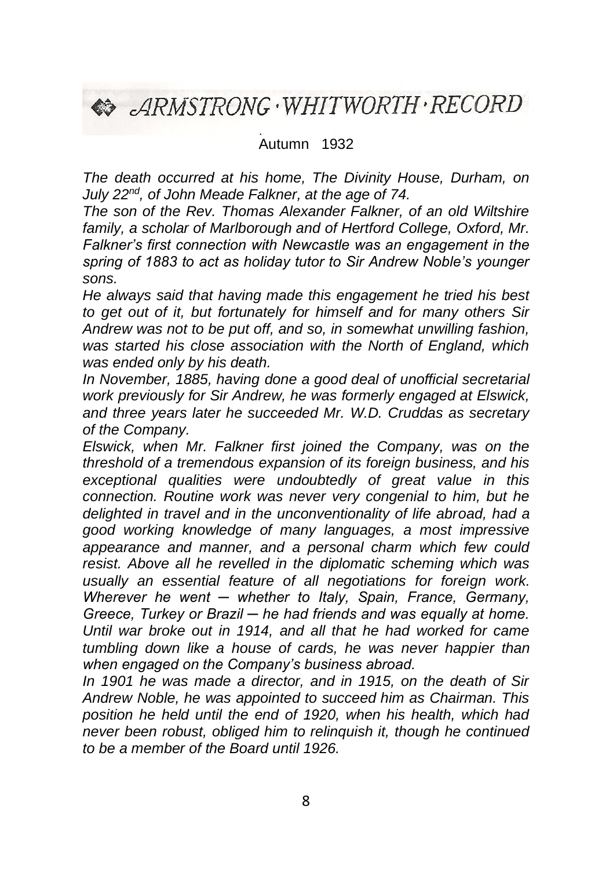**ARMSTRONG . WHITWORTH . RECORD** 

Autumn 1932

*The death occurred at his home, The Divinity House, Durham, on July 22nd, of John Meade Falkner, at the age of 74.*

*The son of the Rev. Thomas Alexander Falkner, of an old Wiltshire family, a scholar of Marlborough and of Hertford College, Oxford, Mr. Falkner's first connection with Newcastle was an engagement in the spring of 1883 to act as holiday tutor to Sir Andrew Noble's younger sons.*

*He always said that having made this engagement he tried his best to get out of it, but fortunately for himself and for many others Sir Andrew was not to be put off, and so, in somewhat unwilling fashion, was started his close association with the North of England, which was ended only by his death.*

*In November, 1885, having done a good deal of unofficial secretarial work previously for Sir Andrew, he was formerly engaged at Elswick, and three years later he succeeded Mr. W.D. Cruddas as secretary of the Company.*

*Elswick, when Mr. Falkner first joined the Company, was on the threshold of a tremendous expansion of its foreign business, and his exceptional qualities were undoubtedly of great value in this connection. Routine work was never very congenial to him, but he delighted in travel and in the unconventionality of life abroad, had a good working knowledge of many languages, a most impressive appearance and manner, and a personal charm which few could resist. Above all he revelled in the diplomatic scheming which was usually an essential feature of all negotiations for foreign work. Wherever he went ─ whether to Italy, Spain, France, Germany, Greece, Turkey or Brazil ─ he had friends and was equally at home. Until war broke out in 1914, and all that he had worked for came tumbling down like a house of cards, he was never happier than when engaged on the Company's business abroad.*

*In 1901 he was made a director, and in 1915, on the death of Sir Andrew Noble, he was appointed to succeed him as Chairman. This position he held until the end of 1920, when his health, which had never been robust, obliged him to relinquish it, though he continued to be a member of the Board until 1926.*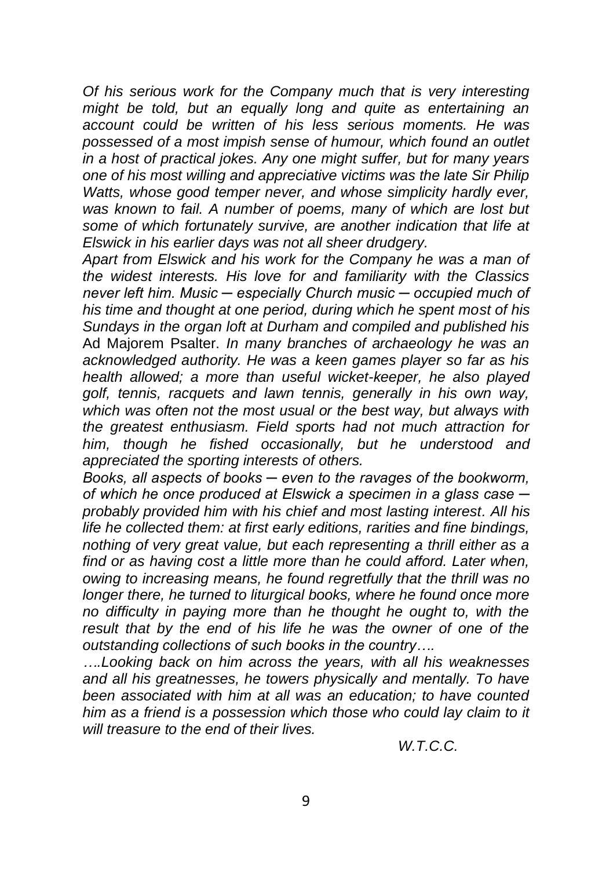*Of his serious work for the Company much that is very interesting might be told, but an equally long and quite as entertaining an account could be written of his less serious moments. He was possessed of a most impish sense of humour, which found an outlet in a host of practical jokes. Any one might suffer, but for many years one of his most willing and appreciative victims was the late Sir Philip Watts, whose good temper never, and whose simplicity hardly ever, was known to fail. A number of poems, many of which are lost but some of which fortunately survive, are another indication that life at Elswick in his earlier days was not all sheer drudgery.*

*Apart from Elswick and his work for the Company he was a man of the widest interests. His love for and familiarity with the Classics never left him. Music ─ especially Church music ─ occupied much of his time and thought at one period, during which he spent most of his Sundays in the organ loft at Durham and compiled and published his*  Ad Majorem Psalter. *In many branches of archaeology he was an acknowledged authority. He was a keen games player so far as his health allowed; a more than useful wicket-keeper, he also played golf, tennis, racquets and lawn tennis, generally in his own way, which was often not the most usual or the best way, but always with the greatest enthusiasm. Field sports had not much attraction for him, though he fished occasionally, but he understood and appreciated the sporting interests of others.*

*Books, all aspects of books ─ even to the ravages of the bookworm, of which he once produced at Elswick a specimen in a glass case ─ probably provided him with his chief and most lasting interest. All his life he collected them: at first early editions, rarities and fine bindings, nothing of very great value, but each representing a thrill either as a find or as having cost a little more than he could afford. Later when, owing to increasing means, he found regretfully that the thrill was no longer there, he turned to liturgical books, where he found once more no difficulty in paying more than he thought he ought to, with the result that by the end of his life he was the owner of one of the outstanding collections of such books in the country….*

*….Looking back on him across the years, with all his weaknesses and all his greatnesses, he towers physically and mentally. To have been associated with him at all was an education; to have counted him as a friend is a possession which those who could lay claim to it will treasure to the end of their lives.*

*W.T.C.C.*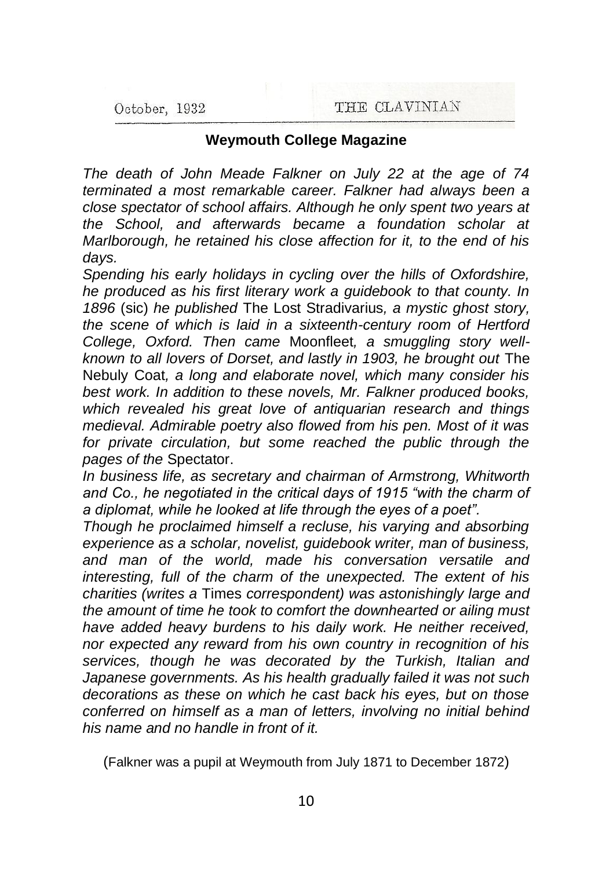### **Weymouth College Magazine**

*The death of John Meade Falkner on July 22 at the age of 74 terminated a most remarkable career. Falkner had always been a close spectator of school affairs. Although he only spent two years at the School, and afterwards became a foundation scholar at Marlborough, he retained his close affection for it, to the end of his days.*

*Spending his early holidays in cycling over the hills of Oxfordshire, he produced as his first literary work a guidebook to that county. In 1896* (sic) *he published* The Lost Stradivarius*, a mystic ghost story, the scene of which is laid in a sixteenth-century room of Hertford College, Oxford. Then came* Moonfleet*, a smuggling story wellknown to all lovers of Dorset, and lastly in 1903, he brought out* The Nebuly Coat*, a long and elaborate novel, which many consider his best work. In addition to these novels, Mr. Falkner produced books, which revealed his great love of antiquarian research and things medieval. Admirable poetry also flowed from his pen. Most of it was for private circulation, but some reached the public through the pages of the* Spectator.

*In business life, as secretary and chairman of Armstrong, Whitworth and Co., he negotiated in the critical days of 1915 "with the charm of a diplomat, while he looked at life through the eyes of a poet".*

*Though he proclaimed himself a recluse, his varying and absorbing experience as a scholar, novelist, guidebook writer, man of business, and man of the world, made his conversation versatile and interesting, full of the charm of the unexpected. The extent of his charities (writes a* Times *correspondent) was astonishingly large and the amount of time he took to comfort the downhearted or ailing must have added heavy burdens to his daily work. He neither received, nor expected any reward from his own country in recognition of his services, though he was decorated by the Turkish, Italian and Japanese governments. As his health gradually failed it was not such decorations as these on which he cast back his eyes, but on those conferred on himself as a man of letters, involving no initial behind his name and no handle in front of it.*

(Falkner was a pupil at Weymouth from July 1871 to December 1872)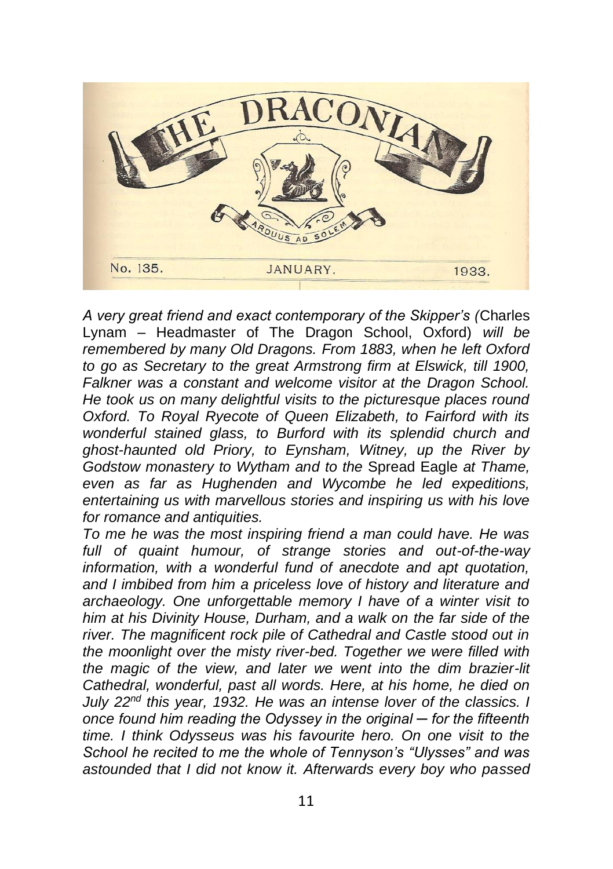

*A very great friend and exact contemporary of the Skipper's (*Charles Lynam – Headmaster of The Dragon School, Oxford) *will be remembered by many Old Dragons. From 1883, when he left Oxford to go as Secretary to the great Armstrong firm at Elswick, till 1900, Falkner was a constant and welcome visitor at the Dragon School. He took us on many delightful visits to the picturesque places round Oxford. To Royal Ryecote of Queen Elizabeth, to Fairford with its wonderful stained glass, to Burford with its splendid church and ghost-haunted old Priory, to Eynsham, Witney, up the River by Godstow monastery to Wytham and to the* Spread Eagle *at Thame, even as far as Hughenden and Wycombe he led expeditions, entertaining us with marvellous stories and inspiring us with his love for romance and antiquities.*

*To me he was the most inspiring friend a man could have. He was full of quaint humour, of strange stories and out-of-the-way information, with a wonderful fund of anecdote and apt quotation, and I imbibed from him a priceless love of history and literature and archaeology. One unforgettable memory I have of a winter visit to him at his Divinity House, Durham, and a walk on the far side of the river. The magnificent rock pile of Cathedral and Castle stood out in the moonlight over the misty river-bed. Together we were filled with the magic of the view, and later we went into the dim brazier-lit Cathedral, wonderful, past all words. Here, at his home, he died on July 22nd this year, 1932. He was an intense lover of the classics. I once found him reading the Odyssey in the original ─ for the fifteenth time. I think Odysseus was his favourite hero. On one visit to the School he recited to me the whole of Tennyson's "Ulysses" and was astounded that I did not know it. Afterwards every boy who passed*